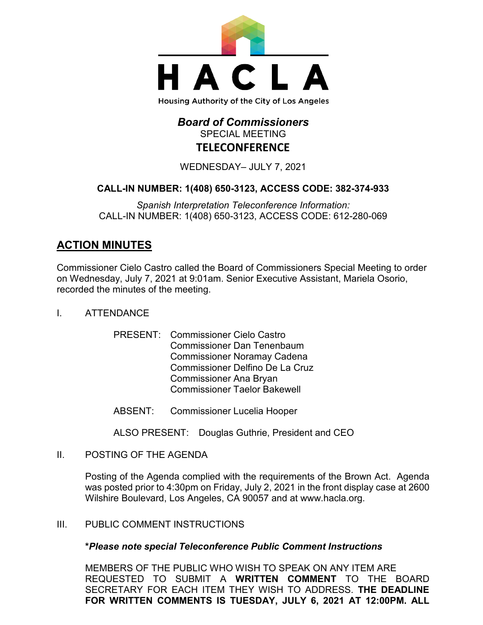

## *Board of Commissioners* SPECIAL MEETING **TELECONFERENCE**

WEDNESDAY– JULY 7, 2021

### **CALL-IN NUMBER: 1(408) 650-3123, ACCESS CODE: 382-374-933**

*Spanish Interpretation Teleconference Information:* CALL-IN NUMBER: 1(408) 650-3123, ACCESS CODE: 612-280-069

# **ACTION MINUTES**

Commissioner Cielo Castro called the Board of Commissioners Special Meeting to order on Wednesday, July 7, 2021 at 9:01am. Senior Executive Assistant, Mariela Osorio, recorded the minutes of the meeting.

- I. ATTENDANCE
	- PRESENT: Commissioner Cielo Castro Commissioner Dan Tenenbaum Commissioner Noramay Cadena Commissioner Delfino De La Cruz Commissioner Ana Bryan Commissioner Taelor Bakewell
	- ABSENT: Commissioner Lucelia Hooper
	- ALSO PRESENT: Douglas Guthrie, President and CEO
- II. POSTING OF THE AGENDA

Posting of the Agenda complied with the requirements of the Brown Act. Agenda was posted prior to 4:30pm on Friday, July 2, 2021 in the front display case at 2600 Wilshire Boulevard, Los Angeles, CA 90057 and at [www.hacla.org.](http://www.hacla.org/)

III. PUBLIC COMMENT INSTRUCTIONS

#### **\****Please note special Teleconference Public Comment Instructions*

MEMBERS OF THE PUBLIC WHO WISH TO SPEAK ON ANY ITEM ARE REQUESTED TO SUBMIT A **WRITTEN COMMENT** TO THE BOARD SECRETARY FOR EACH ITEM THEY WISH TO ADDRESS. **THE DEADLINE FOR WRITTEN COMMENTS IS TUESDAY, JULY 6, 2021 AT 12:00PM. ALL**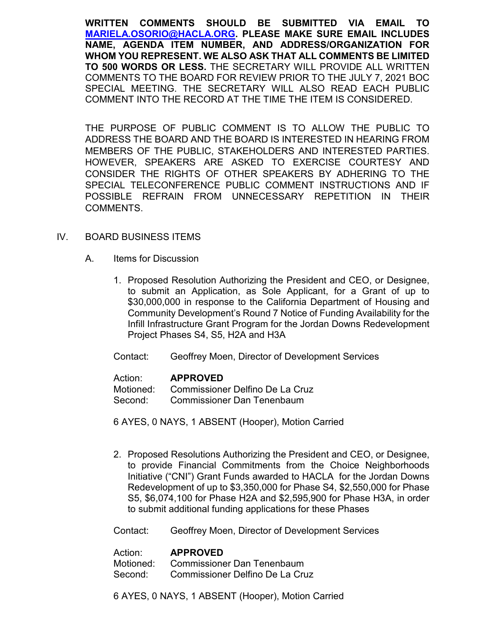**WRITTEN COMMENTS SHOULD BE SUBMITTED VIA EMAIL TO [MARIELA.OSORIO@HACLA.ORG.](mailto:MARIELA.OSORIO@HACLA.ORG) PLEASE MAKE SURE EMAIL INCLUDES NAME, AGENDA ITEM NUMBER, AND ADDRESS/ORGANIZATION FOR WHOM YOU REPRESENT. WE ALSO ASK THAT ALL COMMENTS BE LIMITED TO 500 WORDS OR LESS.** THE SECRETARY WILL PROVIDE ALL WRITTEN COMMENTS TO THE BOARD FOR REVIEW PRIOR TO THE JULY 7, 2021 BOC SPECIAL MEETING. THE SECRETARY WILL ALSO READ EACH PUBLIC COMMENT INTO THE RECORD AT THE TIME THE ITEM IS CONSIDERED.

THE PURPOSE OF PUBLIC COMMENT IS TO ALLOW THE PUBLIC TO ADDRESS THE BOARD AND THE BOARD IS INTERESTED IN HEARING FROM MEMBERS OF THE PUBLIC, STAKEHOLDERS AND INTERESTED PARTIES. HOWEVER, SPEAKERS ARE ASKED TO EXERCISE COURTESY AND CONSIDER THE RIGHTS OF OTHER SPEAKERS BY ADHERING TO THE SPECIAL TELECONFERENCE PUBLIC COMMENT INSTRUCTIONS AND IF POSSIBLE REFRAIN FROM UNNECESSARY REPETITION IN THEIR COMMENTS.

#### IV. BOARD BUSINESS ITEMS

- A. Items for Discussion
	- 1. Proposed Resolution Authorizing the President and CEO, or Designee, to submit an Application, as Sole Applicant, for a Grant of up to \$30,000,000 in response to the California Department of Housing and Community Development's Round 7 Notice of Funding Availability for the Infill Infrastructure Grant Program for the Jordan Downs Redevelopment Project Phases S4, S5, H2A and H3A
	- Contact: Geoffrey Moen, Director of Development Services

| Action: | <b>APPROVED</b>                           |
|---------|-------------------------------------------|
|         | Motioned: Commissioner Delfino De La Cruz |
| Second: | <b>Commissioner Dan Tenenbaum</b>         |

6 AYES, 0 NAYS, 1 ABSENT (Hooper), Motion Carried

2. Proposed Resolutions Authorizing the President and CEO, or Designee, to provide Financial Commitments from the Choice Neighborhoods Initiative ("CNI") Grant Funds awarded to HACLA for the Jordan Downs Redevelopment of up to \$3,350,000 for Phase S4, \$2,550,000 for Phase S5, \$6,074,100 for Phase H2A and \$2,595,900 for Phase H3A, in order to submit additional funding applications for these Phases

Contact: Geoffrey Moen, Director of Development Services

#### Action: **APPROVED**

Motioned: Commissioner Dan Tenenbaum Second: Commissioner Delfino De La Cruz

6 AYES, 0 NAYS, 1 ABSENT (Hooper), Motion Carried